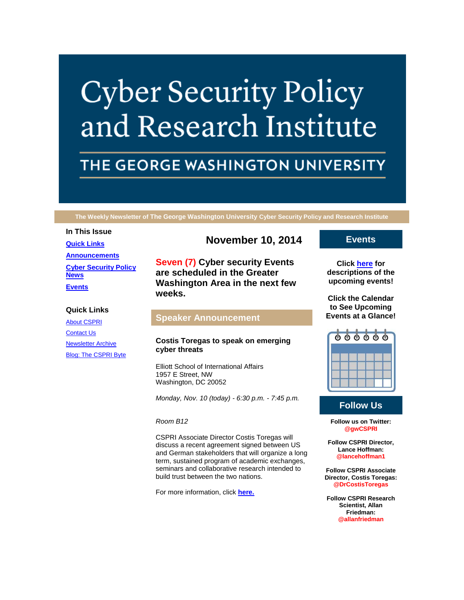# **Cyber Security Policy** and Research Institute

# THE GEORGE WASHINGTON UNIVERSITY

**The Weekly Newsletter of The George Washington University Cyber Security Policy and Research Institute**

#### **In This Issue**

**[Quick Links](https://mail.google.com/mail/u/0/#1499b22a1e44f10f_LETTER.BLOCK5) [Announcements](https://mail.google.com/mail/u/0/#1499b22a1e44f10f_LETTER.BLOCK26) [Cyber Security Policy](https://mail.google.com/mail/u/0/#1499b22a1e44f10f_LETTER.BLOCK53)  [News](https://mail.google.com/mail/u/0/#1499b22a1e44f10f_LETTER.BLOCK53) [Events](https://mail.google.com/mail/u/0/#1499b22a1e44f10f_LETTER.BLOCK30)**

### **Quick Links**

[About CSPRI](http://r20.rs6.net/tn.jsp?f=001Q6GlOup8B8T1H0OLLXV6FMsTtbHTp4GrxuDqbaVZ62qMRzDn0DGUORyCcFngcaH9XCS0RB0BMOl-nHDYIZ-Ps25sPJ8o8epNlGmu-Q46Du6VIadW3KY3S8TjMP4bRXIPFcoCQW6jcG-3-TB_C5ruAwM-sXsb_ewEnHRqIcVJ2sizf0EzXEjGrBU_5mZWm-2o&c=cH3sCxFWDAEXZI3Nx3IPaCWzXv3WcyjuNHC47pSvT-tVW-6cLV53Kw==&ch=ylErEvBbKZfJfkATHuBWix7qqHekFeMSpnxFunYfjjukRpK8HyAMIA==) **[Contact Us](http://r20.rs6.net/tn.jsp?f=001Q6GlOup8B8T1H0OLLXV6FMsTtbHTp4GrxuDqbaVZ62qMRzDn0DGUORyCcFngcaH9ZYezeGsyktaxTup1PhnxZllgYuYsMJKJ_kKZVkBB0xhqdBvJUYubPAwJgcC3liMPky6mOJDHP82SriPI-BV02ut8iFx2ncZgITOss7YPNXETc9jKX2_qzcaMnzBmEpHVOhWwhWw_OCs=&c=cH3sCxFWDAEXZI3Nx3IPaCWzXv3WcyjuNHC47pSvT-tVW-6cLV53Kw==&ch=ylErEvBbKZfJfkATHuBWix7qqHekFeMSpnxFunYfjjukRpK8HyAMIA==)** [Newsletter Archive](http://r20.rs6.net/tn.jsp?f=001Q6GlOup8B8T1H0OLLXV6FMsTtbHTp4GrxuDqbaVZ62qMRzDn0DGUORyCcFngcaH9pmIeUfn2dufs0Kif49Rl6oxAnrGPsfANEpORUsdcB9hHqQuAwZLX4_pqiSoJdGHnW1bq7ywiSQqhZma7zJGP6Ac3hFaavHm8ZFE2RAZ06TaagP6uoOfZDibQcMdnuyOr716c0UeXrAU=&c=cH3sCxFWDAEXZI3Nx3IPaCWzXv3WcyjuNHC47pSvT-tVW-6cLV53Kw==&ch=ylErEvBbKZfJfkATHuBWix7qqHekFeMSpnxFunYfjjukRpK8HyAMIA==) [Blog: The CSPRI Byte](http://r20.rs6.net/tn.jsp?f=001Q6GlOup8B8T1H0OLLXV6FMsTtbHTp4GrxuDqbaVZ62qMRzDn0DGUORyCcFngcaH9rUkNFVZ97VM6-2konVYbGmZIlZzB_U-MLl6DJj0813KaCFHhnpD8jaV5KKmMbsNNeD2Eo9VKezo6dw7NxHC1hgsqcQu_AUMKLly0kj2qlEtBsTvSbKmIC_apTvi2e-Gz&c=cH3sCxFWDAEXZI3Nx3IPaCWzXv3WcyjuNHC47pSvT-tVW-6cLV53Kw==&ch=ylErEvBbKZfJfkATHuBWix7qqHekFeMSpnxFunYfjjukRpK8HyAMIA==)

# **November 10, 2014**

**Seven (7) Cyber security Events are scheduled in the Greater Washington Area in the next few weeks.**

# **Speaker Announcement**

# **Costis Toregas to speak on emerging cyber threats**

Elliott School of International Affairs 1957 E Street, NW Washington, DC 20052

*Monday, Nov. 10 (today) - 6:30 p.m. - 7:45 p.m.*

*Room B12*

CSPRI Associate Director Costis Toregas will discuss a recent agreement signed between US and German stakeholders that will organize a long term, sustained program of academic exchanges, seminars and collaborative research intended to build trust between the two nations.

For more information, click **[here.](http://r20.rs6.net/tn.jsp?f=001Q6GlOup8B8T1H0OLLXV6FMsTtbHTp4GrxuDqbaVZ62qMRzDn0DGUOUEOk-fmYFkJAmuscIbW0BQ4KZeSQZP3RQIje_KhgISgnh27awg6SdgngeeQGAv-bAoWK-8LPKgy2341kj0XidlpW5L1zzoRMdK1Foj4spddGe9pvLUFSgyZFCN6tMcYRcf1iXBX6iDIPo7mDkcEwOgDjQcug_ogXbpYOxW8UL7UNlbV_ZcckeDGAHQ2-HmIwxNpo8PRHauKO9VtTNkWsyzHYa4jFaEt3naDQx1s8n2bOS7_Rx-EwTI=&c=cH3sCxFWDAEXZI3Nx3IPaCWzXv3WcyjuNHC47pSvT-tVW-6cLV53Kw==&ch=ylErEvBbKZfJfkATHuBWix7qqHekFeMSpnxFunYfjjukRpK8HyAMIA==)**

# **Events**

**Click [here](http://r20.rs6.net/tn.jsp?f=001Q6GlOup8B8T1H0OLLXV6FMsTtbHTp4GrxuDqbaVZ62qMRzDn0DGUORyCcFngcaH9-4n06sUpBM95WAOk7s1gVMc5mqNZPeumXFM1-g-08vCGg6ZDLctV_v8KhA2mnkFh9mLymhIGNGyeRYtcKSd6IQMAkWTSiH5stU5kDgT_B-uZvIL5gfaUcRCoLqkDYiLdIamYj8BK96EQmHPmgXdutw==&c=cH3sCxFWDAEXZI3Nx3IPaCWzXv3WcyjuNHC47pSvT-tVW-6cLV53Kw==&ch=ylErEvBbKZfJfkATHuBWix7qqHekFeMSpnxFunYfjjukRpK8HyAMIA==) for descriptions of the upcoming events!**

**Click the Calendar to See Upcoming Events at a Glance!**



# **Follow Us**

**Follow us on Twitter: @gwCSPRI**

**Follow CSPRI Director, Lance Hoffman: @lancehoffman1**

**Follow CSPRI Associate Director, Costis Toregas: @DrCostisToregas**

**Follow CSPRI Research Scientist, Allan Friedman: @allanfriedman**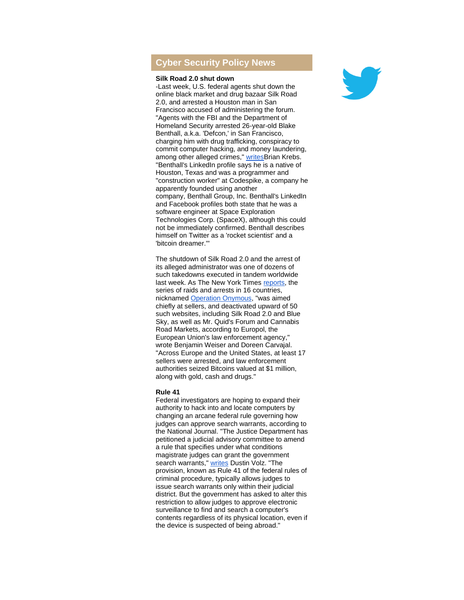# **Cyber Security Policy News**

### **Silk Road 2.0 shut down**

-Last week, U.S. federal agents shut down the online black market and drug bazaar Silk Road 2.0, and arrested a Houston man in San Francisco accused of administering the forum. "Agents with the FBI and the Department of Homeland Security arrested 26-year-old Blake Benthall, a.k.a. 'Defcon,' in San Francisco, charging him with drug trafficking, conspiracy to commit computer hacking, and money laundering, among other alleged crimes," [writesB](http://r20.rs6.net/tn.jsp?f=001Q6GlOup8B8T1H0OLLXV6FMsTtbHTp4GrxuDqbaVZ62qMRzDn0DGUOUEOk-fmYFkJuLFyoI0fJuhJP7b5TbQ2Oc8UXvVFqqv3JgKa4_X_EJ7du5SFW_E55ABJ33v3J8h_zUgZl1_Z4UEOdTsxLKtlbX5vmpL6FfbVNq5azeUdipkqVkwIvYwaDVVNDumTOpft6z5s_5qqINoo749nizVzDP6I59XuzXGvy59DsPJ2r0S1Kmbc2z2A_GNJIXyhY3rm6Y_TqQwuLO0=&c=cH3sCxFWDAEXZI3Nx3IPaCWzXv3WcyjuNHC47pSvT-tVW-6cLV53Kw==&ch=ylErEvBbKZfJfkATHuBWix7qqHekFeMSpnxFunYfjjukRpK8HyAMIA==)rian Krebs. "Benthall's [LinkedIn profile](http://r20.rs6.net/tn.jsp?f=001Q6GlOup8B8T1H0OLLXV6FMsTtbHTp4GrxuDqbaVZ62qMRzDn0DGUOUEOk-fmYFkJcve2NKnQ71vUWoPmUziv--AxqEGJ1rF-qywlQW4RhTVqvul3aZ0IL-tj4Mk-IiguY6QjZF2RPTJGVNC_NxlB8R7Jwv8GA3LvrKUxse2vBVEMfHbxeKG4RhwxkrWn9w7aPt7ouo9t16kZZ58t7T--YX-LsyxMlo27C4eZYuIskHksO1qz99IOYQGLClwPCI42dGlyCO9SHCm5VyHXEoT2nUCe1G9y4wdnof1SqOcia2DXQ-Qs7x87sKzxBqVz3TOKhXW9d-Hc1yyvbqe2Fz7eOR3TJopX235whdyRqu-oUDLq05cUO3ooKoHnc9Ynrb8_j0nDimiWVzkQn6P1a5HncOKcp1qof2AVUBN7G-SEl20=&c=cH3sCxFWDAEXZI3Nx3IPaCWzXv3WcyjuNHC47pSvT-tVW-6cLV53Kw==&ch=ylErEvBbKZfJfkATHuBWix7qqHekFeMSpnxFunYfjjukRpK8HyAMIA==) says he is a native of Houston, Texas and was a programmer and "construction worker" at Codespike, a company he apparently founded using another company, Benthall Group, Inc. Benthall's LinkedIn and Facebook profiles both state that he was a software engineer at Space Exploration Technologies Corp. (SpaceX), although this could not be immediately confirmed. Benthall describes himself on Twitter as a 'rocket scientist' and a 'bitcoin dreamer.'"

The shutdown of Silk Road 2.0 and the arrest of its alleged administrator was one of dozens of such takedowns executed in tandem worldwide last week. As The New York Times [reports,](http://r20.rs6.net/tn.jsp?f=001Q6GlOup8B8T1H0OLLXV6FMsTtbHTp4GrxuDqbaVZ62qMRzDn0DGUOUEOk-fmYFkJ5TqJJ9fNW-1dZdyr0GFaytVoblUn386dj1JlE1oYWxhYTHgW21pmXrVMaP9YfPQEpijKLqSZA2UxQq6ZD6HIAOS-UUUog_JgBxxUrXxcKwecVv285oe-gy6Dz0Wu6xO_b80zGpTTa0P-nvikDdxYh3Ez7Ljcmqpw1Bepl0jKy1EkactBT3xGutmpJkOr6W8jk96phamGkaIY7CEGy0q4qvRItE14JTYe40vK7DN3kiVHjbapBaTTPw==&c=cH3sCxFWDAEXZI3Nx3IPaCWzXv3WcyjuNHC47pSvT-tVW-6cLV53Kw==&ch=ylErEvBbKZfJfkATHuBWix7qqHekFeMSpnxFunYfjjukRpK8HyAMIA==) the series of raids and arrests in 16 countries, nicknamed [Operation Onymous,](http://r20.rs6.net/tn.jsp?f=001Q6GlOup8B8T1H0OLLXV6FMsTtbHTp4GrxuDqbaVZ62qMRzDn0DGUOUEOk-fmYFkJ3m7EgpDSNW1Qigvkbk8dEbqISusn0oCLBQy4NYIiHPQ2xXW8PgWDXlQR1uF_pbjLYPv2g1CMPHdvJqePaHzBa42lmhftZJ1OlurXdDBoR6TVzjW-go0Df4nUzmC8h_c-PA3K7uS-6EQUfhaugs69dJIn3ZUbxQzIkiZ2b68fBdtHcdZhLamNZblhSq0np3jN&c=cH3sCxFWDAEXZI3Nx3IPaCWzXv3WcyjuNHC47pSvT-tVW-6cLV53Kw==&ch=ylErEvBbKZfJfkATHuBWix7qqHekFeMSpnxFunYfjjukRpK8HyAMIA==) "was aimed chiefly at sellers, and deactivated upward of 50 such websites, including Silk Road 2.0 and Blue Sky, as well as Mr. Quid's Forum and Cannabis Road Markets, according to Europol, the European Union's law enforcement agency," wrote Benjamin Weiser and Doreen Carvajal. "Across Europe and the United States, at least 17 sellers were arrested, and law enforcement authorities seized Bitcoins valued at \$1 million, along with gold, cash and drugs."

#### **Rule 41**

Federal investigators are hoping to expand their authority to hack into and locate computers by changing an arcane federal rule governing how judges can approve search warrants, according to the National Journal. "The Justice Department has petitioned a judicial advisory committee to amend a rule that specifies under what conditions magistrate judges can grant the government search warrants," [writes](http://r20.rs6.net/tn.jsp?f=001Q6GlOup8B8T1H0OLLXV6FMsTtbHTp4GrxuDqbaVZ62qMRzDn0DGUOUEOk-fmYFkJGzv8yeZdzVW09OEn3f_ZzWdBbKu0CZKsubNHloNiUBpFq9bg7YrBjsSgjIMXt02pWYU9sSHYPmo0WptDR73bwtt6gn5TBGrZphYqXSHfVYyEVyiUqZwb7h7AUCgH5CTCgHi4rBgbkyunJJsosNeB_d6ek7ssZu6uVxWBO0indLo2tMMZXZBTG5tLd9ZT8b2dIHqxtqJYr-A=&c=cH3sCxFWDAEXZI3Nx3IPaCWzXv3WcyjuNHC47pSvT-tVW-6cLV53Kw==&ch=ylErEvBbKZfJfkATHuBWix7qqHekFeMSpnxFunYfjjukRpK8HyAMIA==) Dustin Volz. "The provision, known as Rule 41 of the federal rules of criminal procedure, typically allows judges to issue search warrants only within their judicial district. But the government has asked to alter this restriction to allow judges to approve electronic surveillance to find and search a computer's contents regardless of its physical location, even if the device is suspected of being abroad."

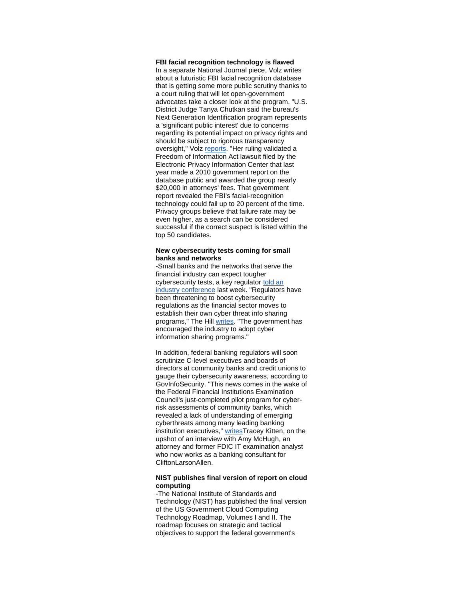**FBI facial recognition technology is flawed**

In a separate National Journal piece, Volz writes about a futuristic FBI facial recognition database that is getting some more public scrutiny thanks to a court ruling that will let open-government advocates take a closer look at the program. "U.S. District Judge Tanya Chutkan said the bureau's Next Generation Identification program represents a 'significant public interest' due to concerns regarding its potential impact on privacy rights and should be subject to rigorous transparency oversight," Volz [reports.](http://r20.rs6.net/tn.jsp?f=001Q6GlOup8B8T1H0OLLXV6FMsTtbHTp4GrxuDqbaVZ62qMRzDn0DGUOUEOk-fmYFkJ2NQYKmU8Sw-ogj414ggk-pE5wYbW4inaNUTYEqrllIKOwWTyBGVQkDYPE22sbKBwdtNInYSQ45xBij9Sox9e3JpELhjj2madlfwOLu6azqQA91J_Ae9CdWkdOC2Vt0823UC_WPrzqJbcMkCPhAHs0hRIUATMgtTR-193YopGoQNgtLG1CI9gfGwDakAv-F6nzYmZHQfCb_lYyh8EMa8omIcCwM--7iZJ5WHpwSlFcIGyPXfCkC2xDQ==&c=cH3sCxFWDAEXZI3Nx3IPaCWzXv3WcyjuNHC47pSvT-tVW-6cLV53Kw==&ch=ylErEvBbKZfJfkATHuBWix7qqHekFeMSpnxFunYfjjukRpK8HyAMIA==) "Her ruling validated a Freedom of Information Act lawsuit filed by the Electronic Privacy Information Center that last year made a 2010 government report on the database public and awarded the group nearly \$20,000 in attorneys' fees. That government report revealed the FBI's facial-recognition technology could fail up to 20 percent of the time. Privacy groups believe that failure rate may be even higher, as a search can be considered successful if the correct suspect is listed within the top 50 candidates.

## **New cybersecurity tests coming for small banks and networks**

-Small banks and the networks that serve the financial industry can expect tougher cybersecurity tests, a key regulator [told an](http://r20.rs6.net/tn.jsp?f=001Q6GlOup8B8T1H0OLLXV6FMsTtbHTp4GrxuDqbaVZ62qMRzDn0DGUOUEOk-fmYFkJnHxEePR6swooLcWlL-cwOwIk7F5-gOqSDyBCxqzaKmyzlN-ILoJl6mn3iYFp_knFOWKTSQYGpYCj-HRajBC-4lbzAylIqEgDHwFTSElzkG0v6qrsetqpXOYfWFtXtPlWRrt34jhvevQHfY8dtn-ePPwMXZGkWGwujnQ6SqX45CU7F4adGdRogw==&c=cH3sCxFWDAEXZI3Nx3IPaCWzXv3WcyjuNHC47pSvT-tVW-6cLV53Kw==&ch=ylErEvBbKZfJfkATHuBWix7qqHekFeMSpnxFunYfjjukRpK8HyAMIA==)  [industry conference](http://r20.rs6.net/tn.jsp?f=001Q6GlOup8B8T1H0OLLXV6FMsTtbHTp4GrxuDqbaVZ62qMRzDn0DGUOUEOk-fmYFkJnHxEePR6swooLcWlL-cwOwIk7F5-gOqSDyBCxqzaKmyzlN-ILoJl6mn3iYFp_knFOWKTSQYGpYCj-HRajBC-4lbzAylIqEgDHwFTSElzkG0v6qrsetqpXOYfWFtXtPlWRrt34jhvevQHfY8dtn-ePPwMXZGkWGwujnQ6SqX45CU7F4adGdRogw==&c=cH3sCxFWDAEXZI3Nx3IPaCWzXv3WcyjuNHC47pSvT-tVW-6cLV53Kw==&ch=ylErEvBbKZfJfkATHuBWix7qqHekFeMSpnxFunYfjjukRpK8HyAMIA==) last week. "Regulators have been threatening to boost cybersecurity regulations as the financial sector moves to establish their own cyber threat info sharing programs," The Hill [writes.](http://r20.rs6.net/tn.jsp?f=001Q6GlOup8B8T1H0OLLXV6FMsTtbHTp4GrxuDqbaVZ62qMRzDn0DGUOUEOk-fmYFkJjq-8CixrMQ1IFUE31htzTxbVB_BWxyPiTifjS_cp3rNA5HbQf2jjcNgBJCWL-3kBMuj4umtMHbri0Yvucv_ekLelr36nCvsdWyeGdnnZniodSiMTP0ySfoV5yetfcPKGe671aWRmhv_p6O4nMdBOuP623a_DA8WzOUZRP9IFgwtYrQxNRexTTup6oqtTJqEPlMjZ4On1dtfoumOkl_VERw==&c=cH3sCxFWDAEXZI3Nx3IPaCWzXv3WcyjuNHC47pSvT-tVW-6cLV53Kw==&ch=ylErEvBbKZfJfkATHuBWix7qqHekFeMSpnxFunYfjjukRpK8HyAMIA==) "The government has encouraged the industry to adopt cyber information sharing programs."

In addition, federal banking regulators will soon scrutinize C-level executives and boards of directors at community banks and credit unions to gauge their cybersecurity awareness, according to GovInfoSecurity. "This news comes in the wake of the Federal Financial Institutions Examination Council's just-completed pilot program for cyberrisk assessments of community banks, which revealed a lack of understanding of emerging cyberthreats among many leading banking institution executives," [writesT](http://r20.rs6.net/tn.jsp?f=001Q6GlOup8B8T1H0OLLXV6FMsTtbHTp4GrxuDqbaVZ62qMRzDn0DGUOUEOk-fmYFkJHja2I_rLiKpk7cWLPipJMrZ2he194duhYdRctWi15H6e1R0DeyFzoAd3TcqHYcxYDD9LwvNCu78TglvDJacC3dd9tajr1cs_beIoIRS8QEfpq2OpUQjao0lbyd0yjhaN3ZNjTyeBxJ_bJcnI2u4CL_z-BTOABu8VdnsX06LHf3Z7FCeZ1tOpLzBCfo0DK7RY&c=cH3sCxFWDAEXZI3Nx3IPaCWzXv3WcyjuNHC47pSvT-tVW-6cLV53Kw==&ch=ylErEvBbKZfJfkATHuBWix7qqHekFeMSpnxFunYfjjukRpK8HyAMIA==)racey Kitten, on the upshot of an interview with Amy McHugh, an attorney and former FDIC IT examination analyst who now works as a banking consultant for CliftonLarsonAllen.

#### **NIST publishes final version of report on cloud computing**

-The National Institute of Standards and Technology (NIST) has published the final version of the US Government [Cloud Computing](http://r20.rs6.net/tn.jsp?f=001Q6GlOup8B8T1H0OLLXV6FMsTtbHTp4GrxuDqbaVZ62qMRzDn0DGUOUEOk-fmYFkJheBgGTwQoHN4-G1jGAwNyO8GXi08XrGZgZ7gFTGPBf667IgXvBOLCAlMWEstp9XOavkQ_ATcOQp_3fdwzUp0gUHY2gq2q5AM_HPzFa1xV1cSlrj85bjbf-Kf7Aipb4bFcWXhZYA6b-Q8ttxSJTNksfU_3jMtb1c6eTBUKozuBnI=&c=cH3sCxFWDAEXZI3Nx3IPaCWzXv3WcyjuNHC47pSvT-tVW-6cLV53Kw==&ch=ylErEvBbKZfJfkATHuBWix7qqHekFeMSpnxFunYfjjukRpK8HyAMIA==)  [Technology Roadmap, Volumes I and II.](http://r20.rs6.net/tn.jsp?f=001Q6GlOup8B8T1H0OLLXV6FMsTtbHTp4GrxuDqbaVZ62qMRzDn0DGUOUEOk-fmYFkJheBgGTwQoHN4-G1jGAwNyO8GXi08XrGZgZ7gFTGPBf667IgXvBOLCAlMWEstp9XOavkQ_ATcOQp_3fdwzUp0gUHY2gq2q5AM_HPzFa1xV1cSlrj85bjbf-Kf7Aipb4bFcWXhZYA6b-Q8ttxSJTNksfU_3jMtb1c6eTBUKozuBnI=&c=cH3sCxFWDAEXZI3Nx3IPaCWzXv3WcyjuNHC47pSvT-tVW-6cLV53Kw==&ch=ylErEvBbKZfJfkATHuBWix7qqHekFeMSpnxFunYfjjukRpK8HyAMIA==) The roadmap focuses on strategic and tactical objectives to support the federal government's